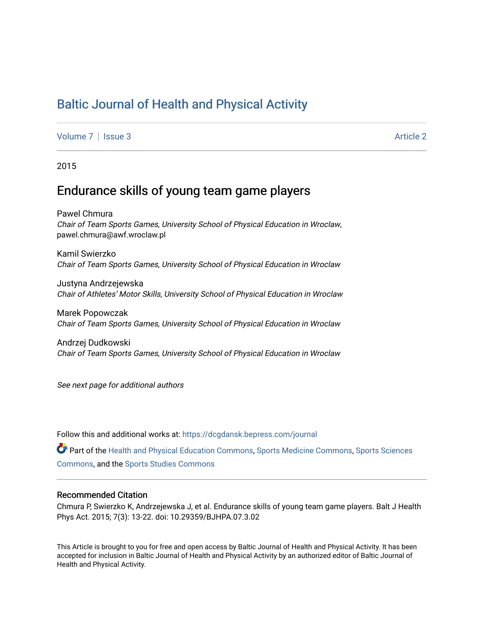# [Baltic Journal of Health and Physical Activity](https://dcgdansk.bepress.com/journal)

[Volume 7](https://dcgdansk.bepress.com/journal/vol7) | [Issue 3](https://dcgdansk.bepress.com/journal/vol7/iss3) Article 2

2015

## Endurance skills of young team game players

Pawel Chmura Chair of Team Sports Games, University School of Physical Education in Wroclaw, pawel.chmura@awf.wroclaw.pl

Kamil Swierzko Chair of Team Sports Games, University School of Physical Education in Wroclaw

Justyna Andrzejewska Chair of Athletes' Motor Skills, University School of Physical Education in Wroclaw

Marek Popowczak Chair of Team Sports Games, University School of Physical Education in Wroclaw

Andrzej Dudkowski Chair of Team Sports Games, University School of Physical Education in Wroclaw

See next page for additional authors

Follow this and additional works at: [https://dcgdansk.bepress.com/journal](https://dcgdansk.bepress.com/journal?utm_source=dcgdansk.bepress.com%2Fjournal%2Fvol7%2Fiss3%2F2&utm_medium=PDF&utm_campaign=PDFCoverPages)

Part of the [Health and Physical Education Commons](http://network.bepress.com/hgg/discipline/1327?utm_source=dcgdansk.bepress.com%2Fjournal%2Fvol7%2Fiss3%2F2&utm_medium=PDF&utm_campaign=PDFCoverPages), [Sports Medicine Commons,](http://network.bepress.com/hgg/discipline/1331?utm_source=dcgdansk.bepress.com%2Fjournal%2Fvol7%2Fiss3%2F2&utm_medium=PDF&utm_campaign=PDFCoverPages) [Sports Sciences](http://network.bepress.com/hgg/discipline/759?utm_source=dcgdansk.bepress.com%2Fjournal%2Fvol7%2Fiss3%2F2&utm_medium=PDF&utm_campaign=PDFCoverPages) [Commons](http://network.bepress.com/hgg/discipline/759?utm_source=dcgdansk.bepress.com%2Fjournal%2Fvol7%2Fiss3%2F2&utm_medium=PDF&utm_campaign=PDFCoverPages), and the [Sports Studies Commons](http://network.bepress.com/hgg/discipline/1198?utm_source=dcgdansk.bepress.com%2Fjournal%2Fvol7%2Fiss3%2F2&utm_medium=PDF&utm_campaign=PDFCoverPages) 

#### Recommended Citation

Chmura P, Swierzko K, Andrzejewska J, et al. Endurance skills of young team game players. Balt J Health Phys Act. 2015; 7(3): 13-22. doi: 10.29359/BJHPA.07.3.02

This Article is brought to you for free and open access by Baltic Journal of Health and Physical Activity. It has been accepted for inclusion in Baltic Journal of Health and Physical Activity by an authorized editor of Baltic Journal of Health and Physical Activity.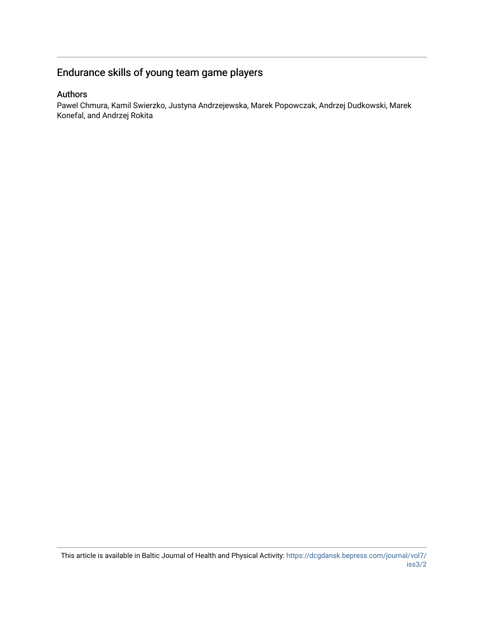# Endurance skills of young team game players

## Authors

Pawel Chmura, Kamil Swierzko, Justyna Andrzejewska, Marek Popowczak, Andrzej Dudkowski, Marek Konefal, and Andrzej Rokita

This article is available in Baltic Journal of Health and Physical Activity: [https://dcgdansk.bepress.com/journal/vol7/](https://dcgdansk.bepress.com/journal/vol7/iss3/2) [iss3/2](https://dcgdansk.bepress.com/journal/vol7/iss3/2)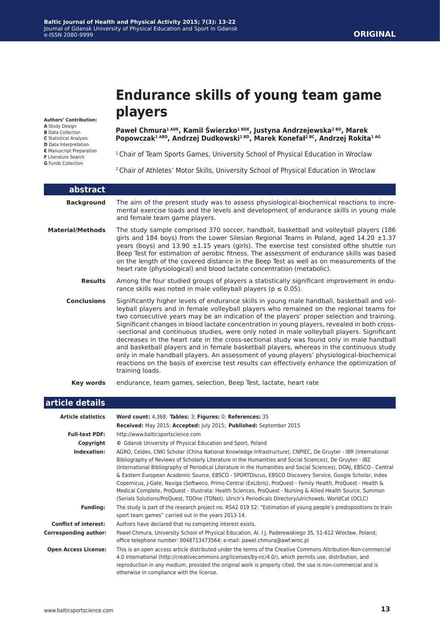# **Endurance skills of young team game players**

**Authors' Contribution:**

**A** Study Design

**B** Data Collection

**C** Statistical Analysis

- **D** Data Interpretation
- **E** Manuscript Preparation

**F** Literature Search

**G** Funds Collection

**Paweł Chmura1 ADE, Kamil Świerzko1 BDE, Justyna Andrzejewska2 BD, Marek Popowczak1 ABD, Andrzej Dudkowski1 BD, Marek Konefał2 BC, Andrzej Rokita1 AG**

<sup>1</sup> Chair of Team Sports Games, University School of Physical Education in Wroclaw

2 Chair of Athletes' Motor Skills, University School of Physical Education in Wroclaw

| abstract                |                                                                                                                                                                                                                                                                                                                                                                                                                                                                                                                                                                                                                                                                                                                                                                                                                                                                                         |
|-------------------------|-----------------------------------------------------------------------------------------------------------------------------------------------------------------------------------------------------------------------------------------------------------------------------------------------------------------------------------------------------------------------------------------------------------------------------------------------------------------------------------------------------------------------------------------------------------------------------------------------------------------------------------------------------------------------------------------------------------------------------------------------------------------------------------------------------------------------------------------------------------------------------------------|
| <b>Background</b>       | The aim of the present study was to assess physiological-biochemical reactions to incre-<br>mental exercise loads and the levels and development of endurance skills in young male<br>and female team game players.                                                                                                                                                                                                                                                                                                                                                                                                                                                                                                                                                                                                                                                                     |
| <b>Material/Methods</b> | The study sample comprised 370 soccer, handball, basketball and volleyball players (186<br>girls and 184 boys) from the Lower Silesian Regional Teams in Poland, aged 14.20 $\pm$ 1.37<br>years (boys) and $13.90 \pm 1.15$ years (girls). The exercise test consisted of the shuttle run<br>Beep Test for estimation of aerobic fitness. The assessment of endurance skills was based<br>on the length of the covered distance in the Beep Test as well as on measurements of the<br>heart rate (physiological) and blood lactate concentration (metabolic).                                                                                                                                                                                                                                                                                                                           |
| <b>Results</b>          | Among the four studied groups of players a statistically significant improvement in endu-<br>rance skills was noted in male volleyball players ( $p \le 0.05$ ).                                                                                                                                                                                                                                                                                                                                                                                                                                                                                                                                                                                                                                                                                                                        |
| <b>Conclusions</b>      | Significantly higher levels of endurance skills in young male handball, basketball and vol-<br>leyball players and in female volleyball players who remained on the regional teams for<br>two consecutive years may be an indication of the players' proper selection and training.<br>Significant changes in blood lactate concentration in young players, revealed in both cross-<br>-sectional and continuous studies, were only noted in male volleyball players. Significant<br>decreases in the heart rate in the cross-sectional study was found only in male handball<br>and basketball players and in female basketball players, whereas in the continuous study<br>only in male handball players. An assessment of young players' physiological-biochemical<br>reactions on the basis of exercise test results can effectively enhance the optimization of<br>training loads. |
| Key words               | endurance, team games, selection, Beep Test, lactate, heart rate                                                                                                                                                                                                                                                                                                                                                                                                                                                                                                                                                                                                                                                                                                                                                                                                                        |

| article details              |                                                                                                                                                                                                                                                                                                                                                                                                                                                                                                                                                                                                                                                                                                                                                                                                      |
|------------------------------|------------------------------------------------------------------------------------------------------------------------------------------------------------------------------------------------------------------------------------------------------------------------------------------------------------------------------------------------------------------------------------------------------------------------------------------------------------------------------------------------------------------------------------------------------------------------------------------------------------------------------------------------------------------------------------------------------------------------------------------------------------------------------------------------------|
| <b>Article statistics</b>    | Word count: 4,368; Tables: 3; Figures: 0; References: 35                                                                                                                                                                                                                                                                                                                                                                                                                                                                                                                                                                                                                                                                                                                                             |
|                              | Received: May 2015; Accepted: July 2015; Published: September 2015                                                                                                                                                                                                                                                                                                                                                                                                                                                                                                                                                                                                                                                                                                                                   |
| <b>Full-text PDF:</b>        | http://www.balticsportscience.com                                                                                                                                                                                                                                                                                                                                                                                                                                                                                                                                                                                                                                                                                                                                                                    |
| Copyright                    | © Gdansk University of Physical Education and Sport, Poland                                                                                                                                                                                                                                                                                                                                                                                                                                                                                                                                                                                                                                                                                                                                          |
| Indexation:                  | AGRO, Celdes, CNKI Scholar (China National Knowledge Infrastructure), CNPIEC, De Gruyter - IBR (International<br>Bibliography of Reviews of Scholarly Literature in the Humanities and Social Sciences), De Gruyter - IBZ<br>(International Bibliography of Periodical Literature in the Humanities and Social Sciences), DOAJ, EBSCO - Central<br>& Eastern European Academic Source, EBSCO - SPORTDiscus, EBSCO Discovery Service, Google Scholar, Index<br>Copernicus, J-Gate, Naviga (Softweco, Primo Central (ExLibris), ProQuest - Family Health, ProQuest - Health &<br>Medical Complete, ProQuest - Illustrata: Health Sciences, ProQuest - Nursing & Allied Health Source, Summon<br>(Serials Solutions/ProQuest, TDOne (TDNet), Ulrich's Periodicals Directory/ulrichsweb, WorldCat (OCLC) |
| <b>Funding:</b>              | The study is part of the research project no. RSA2 019 52: "Estimation of young people's predispositions to train<br>sport team games" carried out in the years 2013-14.                                                                                                                                                                                                                                                                                                                                                                                                                                                                                                                                                                                                                             |
| <b>Conflict of interest:</b> | Authors have declared that no competing interest exists.                                                                                                                                                                                                                                                                                                                                                                                                                                                                                                                                                                                                                                                                                                                                             |
| <b>Corresponding author:</b> | Paweł Chmura, University School of Physical Education, Al. I.J. Paderewskiego 35, 51-612 Wrocław, Poland;<br>office telephone number: 0048713473564; e-mail: pawel.chmura@awf.wroc.pl                                                                                                                                                                                                                                                                                                                                                                                                                                                                                                                                                                                                                |
| <b>Open Access License:</b>  | This is an open access article distributed under the terms of the Creative Commons Attribution-Non-commercial<br>4.0 International (http://creativecommons.org/licenses/by-nc/4.0/), which permits use, distribution, and<br>reproduction in any medium, provided the original work is properly cited, the use is non-commercial and is<br>otherwise in compliance with the license.                                                                                                                                                                                                                                                                                                                                                                                                                 |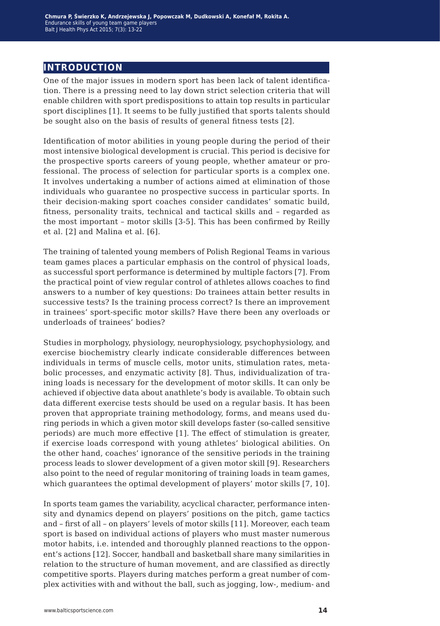## **introduction**

One of the major issues in modern sport has been lack of talent identification. There is a pressing need to lay down strict selection criteria that will enable children with sport predispositions to attain top results in particular sport disciplines [1]. It seems to be fully justified that sports talents should be sought also on the basis of results of general fitness tests [2].

Identification of motor abilities in young people during the period of their most intensive biological development is crucial. This period is decisive for the prospective sports careers of young people, whether amateur or professional. The process of selection for particular sports is a complex one. It involves undertaking a number of actions aimed at elimination of those individuals who guarantee no prospective success in particular sports. In their decision-making sport coaches consider candidates' somatic build, fitness, personality traits, technical and tactical skills and – regarded as the most important – motor skills [3-5]. This has been confirmed by Reilly et al. [2] and Malina et al. [6].

The training of talented young members of Polish Regional Teams in various team games places a particular emphasis on the control of physical loads, as successful sport performance is determined by multiple factors [7]. From the practical point of view regular control of athletes allows coaches to find answers to a number of key questions: Do trainees attain better results in successive tests? Is the training process correct? Is there an improvement in trainees' sport-specific motor skills? Have there been any overloads or underloads of trainees' bodies?

Studies in morphology, physiology, neurophysiology, psychophysiology, and exercise biochemistry clearly indicate considerable differences between individuals in terms of muscle cells, motor units, stimulation rates, metabolic processes, and enzymatic activity [8]. Thus, individualization of training loads is necessary for the development of motor skills. It can only be achieved if objective data about anathlete's body is available. To obtain such data different exercise tests should be used on a regular basis. It has been proven that appropriate training methodology, forms, and means used during periods in which a given motor skill develops faster (so-called sensitive periods) are much more effective [1]. The effect of stimulation is greater, if exercise loads correspond with young athletes' biological abilities. On the other hand, coaches' ignorance of the sensitive periods in the training process leads to slower development of a given motor skill [9]. Researchers also point to the need of regular monitoring of training loads in team games, which guarantees the optimal development of players' motor skills [7, 10].

In sports team games the variability, acyclical character, performance intensity and dynamics depend on players' positions on the pitch, game tactics and – first of all – on players' levels of motor skills [11]. Moreover, each team sport is based on individual actions of players who must master numerous motor habits, i.e. intended and thoroughly planned reactions to the opponent's actions [12]. Soccer, handball and basketball share many similarities in relation to the structure of human movement, and are classified as directly competitive sports. Players during matches perform a great number of complex activities with and without the ball, such as jogging, low-, medium- and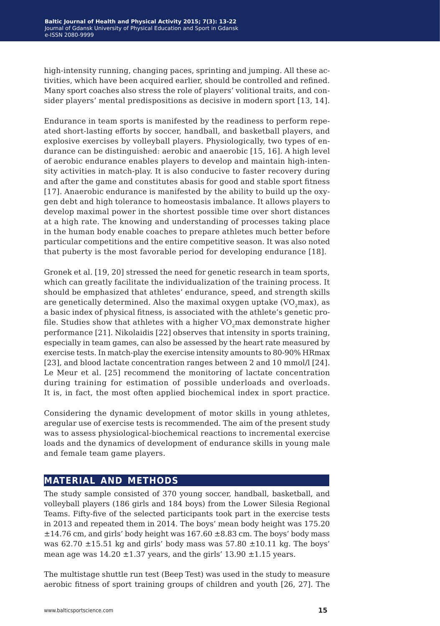high-intensity running, changing paces, sprinting and jumping. All these activities, which have been acquired earlier, should be controlled and refined. Many sport coaches also stress the role of players' volitional traits, and consider players' mental predispositions as decisive in modern sport [13, 14].

Endurance in team sports is manifested by the readiness to perform repeated short-lasting efforts by soccer, handball, and basketball players, and explosive exercises by volleyball players. Physiologically, two types of endurance can be distinguished: aerobic and anaerobic [15, 16]. A high level of aerobic endurance enables players to develop and maintain high-intensity activities in match-play. It is also conducive to faster recovery during and after the game and constitutes abasis for good and stable sport fitness [17]. Anaerobic endurance is manifested by the ability to build up the oxygen debt and high tolerance to homeostasis imbalance. It allows players to develop maximal power in the shortest possible time over short distances at a high rate. The knowing and understanding of processes taking place in the human body enable coaches to prepare athletes much better before particular competitions and the entire competitive season. It was also noted that puberty is the most favorable period for developing endurance [18].

Gronek et al. [19, 20] stressed the need for genetic research in team sports, which can greatly facilitate the individualization of the training process. It should be emphasized that athletes' endurance, speed, and strength skills are genetically determined. Also the maximal oxygen uptake  $(VO, max)$ , as a basic index of physical fitness, is associated with the athlete's genetic profile. Studies show that athletes with a higher VO<sub>2</sub>max demonstrate higher performance [21]. Nikolaidis [22] observes that intensity in sports training, especially in team games, can also be assessed by the heart rate measured by exercise tests. In match-play the exercise intensity amounts to 80-90% HRmax [23], and blood lactate concentration ranges between 2 and 10 mmol/ $[24]$ . Le Meur et al. [25] recommend the monitoring of lactate concentration during training for estimation of possible underloads and overloads. It is, in fact, the most often applied biochemical index in sport practice.

Considering the dynamic development of motor skills in young athletes, aregular use of exercise tests is recommended. The aim of the present study was to assess physiological-biochemical reactions to incremental exercise loads and the dynamics of development of endurance skills in young male and female team game players.

## **material and methods**

The study sample consisted of 370 young soccer, handball, basketball, and volleyball players (186 girls and 184 boys) from the Lower Silesia Regional Teams. Fifty-five of the selected participants took part in the exercise tests in 2013 and repeated them in 2014. The boys' mean body height was 175.20  $\pm 14.76$  cm, and girls' body height was  $167.60 \pm 8.83$  cm. The boys' body mass was 62.70  $\pm$ 15.51 kg and girls' body mass was 57.80  $\pm$ 10.11 kg. The boys' mean age was  $14.20 \pm 1.37$  years, and the girls'  $13.90 \pm 1.15$  years.

The multistage shuttle run test (Beep Test) was used in the study to measure aerobic fitness of sport training groups of children and youth [26, 27]. The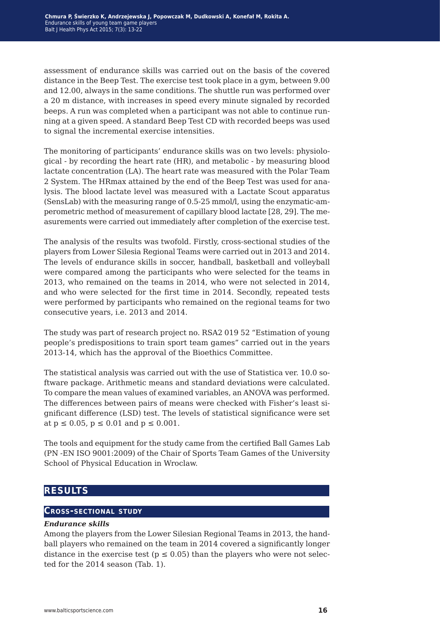assessment of endurance skills was carried out on the basis of the covered distance in the Beep Test. The exercise test took place in a gym, between 9.00 and 12.00, always in the same conditions. The shuttle run was performed over a 20 m distance, with increases in speed every minute signaled by recorded beeps. A run was completed when a participant was not able to continue running at a given speed. A standard Beep Test CD with recorded beeps was used to signal the incremental exercise intensities.

The monitoring of participants' endurance skills was on two levels: physiological - by recording the heart rate (HR), and metabolic - by measuring blood lactate concentration (LA). The heart rate was measured with the Polar Team 2 System. The HRmax attained by the end of the Beep Test was used for analysis. The blood lactate level was measured with a Lactate Scout apparatus (SensLab) with the measuring range of 0.5-25 mmol/l, using the enzymatic-amperometric method of measurement of capillary blood lactate [28, 29]. The measurements were carried out immediately after completion of the exercise test.

The analysis of the results was twofold. Firstly, cross-sectional studies of the players from Lower Silesia Regional Teams were carried out in 2013 and 2014. The levels of endurance skills in soccer, handball, basketball and volleyball were compared among the participants who were selected for the teams in 2013, who remained on the teams in 2014, who were not selected in 2014, and who were selected for the first time in 2014. Secondly, repeated tests were performed by participants who remained on the regional teams for two consecutive years, i.e. 2013 and 2014.

The study was part of research project no. RSA2 019 52 "Estimation of young people's predispositions to train sport team games" carried out in the years 2013-14, which has the approval of the Bioethics Committee.

The statistical analysis was carried out with the use of Statistica ver. 10.0 software package. Arithmetic means and standard deviations were calculated. To compare the mean values of examined variables, an ANOVA was performed. The differences between pairs of means were checked with Fisher's least significant difference (LSD) test. The levels of statistical significance were set at  $p \le 0.05$ ,  $p \le 0.01$  and  $p \le 0.001$ .

The tools and equipment for the study came from the certified Ball Games Lab (PN -EN ISO 9001:2009) of the Chair of Sports Team Games of the University School of Physical Education in Wroclaw.

## **results**

#### **Cross-sectional study**

#### *Endurance skills*

Among the players from the Lower Silesian Regional Teams in 2013, the handball players who remained on the team in 2014 covered a significantly longer distance in the exercise test ( $p \le 0.05$ ) than the players who were not selected for the 2014 season (Tab. 1).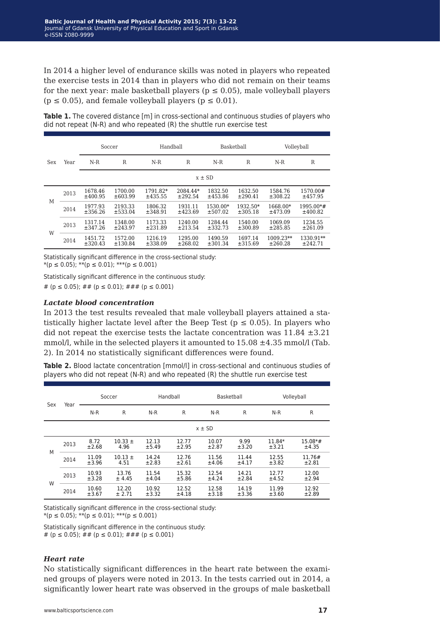In 2014 a higher level of endurance skills was noted in players who repeated the exercise tests in 2014 than in players who did not remain on their teams for the next year: male basketball players ( $p \le 0.05$ ), male volleyball players  $(p \le 0.05)$ , and female volleyball players  $(p \le 0.01)$ .

|     | Year | Soccer             |                         | Handball            |                     | Basketball          |                     | Volleyball           |                         |  |
|-----|------|--------------------|-------------------------|---------------------|---------------------|---------------------|---------------------|----------------------|-------------------------|--|
| Sex |      | $N-R$              | $\mathbb R$             | $N-R$               | R                   | $N-R$               | $\mathbb{R}$        | $N-R$                | R                       |  |
|     |      | $x \pm SD$         |                         |                     |                     |                     |                     |                      |                         |  |
| М   | 2013 | 1678.46<br>±400.95 | 1700.00<br>$\pm 603.99$ | 1791.82*<br>±435.55 | 2084.44*<br>±292.54 | 1832.50<br>±453.86  | 1632.50<br>±290.41  | 1584.76<br>±308.22   | 1570.00#<br>±457.95     |  |
|     | 2014 | 1977.93<br>±356.26 | 2193.33<br>±533.04      | 1806.32<br>±348.91  | 1931.11<br>±423.69  | 1530.00*<br>±507.02 | 1932.50*<br>±305.18 | 1668.00*<br>±473.09  | $1995.00*$ #<br>±400.82 |  |
| W   | 2013 | 1317.14<br>±347.26 | 1348.00<br>±243.97      | 1173.33<br>±231.89  | 1240.00<br>±213.54  | 1284.44<br>±332.73  | 1540.00<br>±300.89  | 1069.09<br>±285.85   | 1234.55<br>±261.09      |  |
|     | 2014 | 1451.72<br>±320.43 | 1572.00<br>±130.84      | 1216.19<br>±338.09  | 1295.00<br>±268.02  | 1490.59<br>±301.34  | 1697.14<br>±315.69  | 1009.23**<br>±260.28 | $1330.91**$<br>±242.71  |  |

**Table 1.** The covered distance [m] in cross-sectional and continuous studies of players who did not repeat (N-R) and who repeated (R) the shuttle run exercise test

Statistically significant difference in the cross-sectional study:  $*(p \le 0.05);$  \*\* $(p \le 0.01);$  \*\*\* $(p \le 0.001)$ 

Statistically significant difference in the continuous study:

# ( $p \le 0.05$ ); ## ( $p \le 0.01$ ); ### ( $p \le 0.001$ )

#### *Lactate blood concentration*

In 2013 the test results revealed that male volleyball players attained a statistically higher lactate level after the Beep Test ( $p \le 0.05$ ). In players who did not repeat the exercise tests the lactate concentration was  $11.84 \pm 3.21$ mmol/l, while in the selected players it amounted to 15.08 ±4.35 mmol/l (Tab. 2). In 2014 no statistically significant differences were found.

**Table 2.** Blood lactate concentration [mmol/l] in cross-sectional and continuous studies of players who did not repeat (N-R) and who repeated (R) the shuttle run exercise test

| Sex | Year | Soccer         |                     | Handball       |                | Basketball     |                | Volleyball      |                    |
|-----|------|----------------|---------------------|----------------|----------------|----------------|----------------|-----------------|--------------------|
|     |      | $N-R$          | R                   | $N-R$          | R              | $N-R$          | R              | $N-R$           | R                  |
|     |      | $x \pm SD$     |                     |                |                |                |                |                 |                    |
| M   | 2013 | 8.72<br>±2.68  | $10.33 \pm$<br>4.96 | 12.13<br>±5.49 | 12.77<br>±2.95 | 10.07<br>±2.87 | 9.99<br>±3.20  | 11.84*<br>±3.21 | $15.08*#$<br>±4.35 |
|     | 2014 | 11.09<br>±3.96 | $10.13 \pm$<br>4.51 | 14.24<br>±2.83 | 12.76<br>±2.61 | 11.56<br>±4.06 | 11.44<br>±4.17 | 12.55<br>±3.82  | 11.76#<br>±2.81    |
| W   | 2013 | 10.93<br>±3.28 | 13.76<br>± 4.45     | 11.54<br>±4.04 | 15.32<br>±5.86 | 12.54<br>±4.24 | 14.21<br>±2.84 | 12.77<br>±4.52  | 12.00<br>±2.94     |
|     | 2014 | 10.60<br>±3.67 | 12.20<br>± 2.71     | 10.92<br>±3.32 | 12.52<br>±4.18 | 12.58<br>±3.18 | 14.19<br>±3.36 | 11.99<br>±3.60  | 12.92<br>±2.89     |

Statistically significant difference in the cross-sectional study:  $*(p \le 0.05);$  \*\* $(p \le 0.01);$  \*\*\* $(p \le 0.001)$ 

Statistically significant difference in the continuous study: # ( $p \le 0.05$ ); ## ( $p \le 0.01$ ); ### ( $p \le 0.001$ )

#### *Heart rate*

No statistically significant differences in the heart rate between the examined groups of players were noted in 2013. In the tests carried out in 2014, a significantly lower heart rate was observed in the groups of male basketball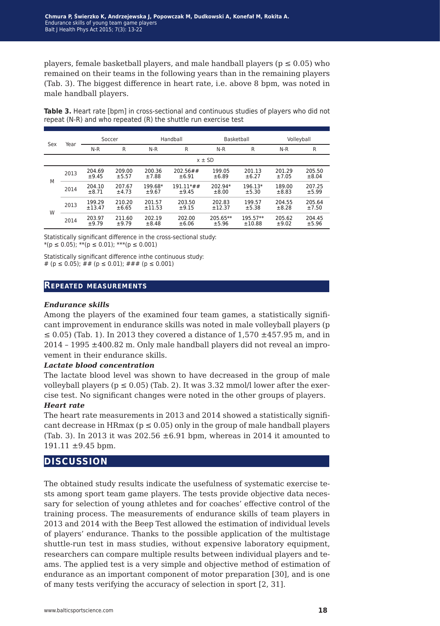players, female basketball players, and male handball players ( $p \le 0.05$ ) who remained on their teams in the following years than in the remaining players (Tab. 3). The biggest difference in heart rate, i.e. above 8 bpm, was noted in male handball players.

| Sex | Year | Soccer            |                 | Handball              |                         | Basketball        |                    | Volleyball      |                 |  |  |
|-----|------|-------------------|-----------------|-----------------------|-------------------------|-------------------|--------------------|-----------------|-----------------|--|--|
|     |      | $N-R$             | R               | N-R                   | R                       | N-R               | R                  | $N-R$           | R               |  |  |
|     |      |                   | $x \pm SD$      |                       |                         |                   |                    |                 |                 |  |  |
| M   | 2013 | 204.69<br>±9.45   | 209.00<br>±5.57 | 200.36<br>±7.88       | $202.56 \# \#$<br>±6.91 | 199.05<br>±6.89   | 201.13<br>±6.27    | 201.29<br>±7.05 | 205.50<br>±8.04 |  |  |
|     | 2014 | 204.10<br>$+8.71$ | 207.67<br>±4.73 | 199.68*<br>$\pm 9.67$ | $191.11**$ #<br>$+9.45$ | 202.94*<br>±8.00  | $196.13*$<br>±5.30 | 189.00<br>±8.83 | 207.25<br>±5.99 |  |  |
| W   | 2013 | 199.29<br>±13.47  | 210.20<br>±6.65 | 201.57<br>±11.53      | 203.50<br>±9.15         | 202.83<br>±12.37  | 199.57<br>±5.38    | 204.55<br>±8.28 | 205.64<br>±7.50 |  |  |
|     | 2014 | 203.97<br>±9.79   | 211.60<br>±9.79 | 202.19<br>±8.48       | 202.00<br>±6.06         | 205.65**<br>±5.96 | 195.57**<br>±10.88 | 205.62<br>±9.02 | 204.45<br>±5.96 |  |  |

Table 3. Heart rate [bpm] in cross-sectional and continuous studies of players who did not repeat (N-R) and who repeated (R) the shuttle run exercise test

Statistically significant difference in the cross-sectional study:  $*(p \le 0.05);$  \*\* $(p \le 0.01);$  \*\*\* $(p \le 0.001)$ 

Statistically significant difference inthe continuous study: # ( $p \le 0.05$ ); ## ( $p \le 0.01$ ); ### ( $p \le 0.001$ )

#### **Repeated measurements**

#### *Endurance skills*

Among the players of the examined four team games, a statistically significant improvement in endurance skills was noted in male volleyball players (p  $\leq$  0.05) (Tab. 1). In 2013 they covered a distance of 1,570  $\pm$ 457.95 m, and in  $2014 - 1995 \pm 400.82$  m. Only male handball players did not reveal an improvement in their endurance skills.

#### *Lactate blood concentration*

The lactate blood level was shown to have decreased in the group of male volleyball players ( $p \le 0.05$ ) (Tab. 2). It was 3.32 mmol/l lower after the exercise test. No significant changes were noted in the other groups of players.

#### *Heart rate*

The heart rate measurements in 2013 and 2014 showed a statistically significant decrease in HRmax ( $p \le 0.05$ ) only in the group of male handball players (Tab. 3). In 2013 it was 202.56  $\pm 6.91$  bpm, whereas in 2014 it amounted to 191.11 ±9.45 bpm.

#### **discussion**

The obtained study results indicate the usefulness of systematic exercise tests among sport team game players. The tests provide objective data necessary for selection of young athletes and for coaches' effective control of the training process. The measurements of endurance skills of team players in 2013 and 2014 with the Beep Test allowed the estimation of individual levels of players' endurance. Thanks to the possible application of the multistage shuttle-run test in mass studies, without expensive laboratory equipment, researchers can compare multiple results between individual players and teams. The applied test is a very simple and objective method of estimation of endurance as an important component of motor preparation [30], and is one of many tests verifying the accuracy of selection in sport [2, 31].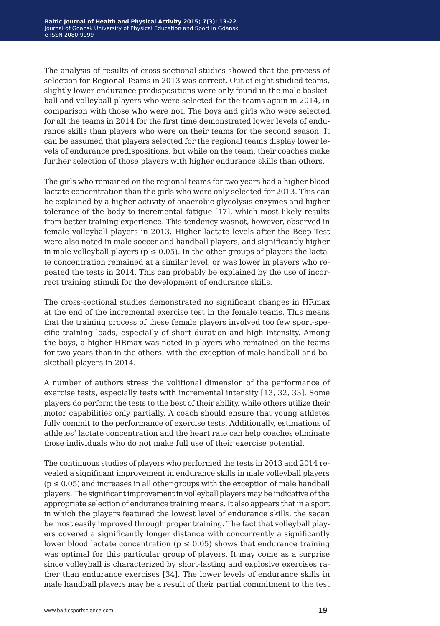The analysis of results of cross-sectional studies showed that the process of selection for Regional Teams in 2013 was correct. Out of eight studied teams, slightly lower endurance predispositions were only found in the male basketball and volleyball players who were selected for the teams again in 2014, in comparison with those who were not. The boys and girls who were selected for all the teams in 2014 for the first time demonstrated lower levels of endurance skills than players who were on their teams for the second season. It can be assumed that players selected for the regional teams display lower levels of endurance predispositions, but while on the team, their coaches make further selection of those players with higher endurance skills than others.

The girls who remained on the regional teams for two years had a higher blood lactate concentration than the girls who were only selected for 2013. This can be explained by a higher activity of anaerobic glycolysis enzymes and higher tolerance of the body to incremental fatigue [17], which most likely results from better training experience. This tendency wasnot, however, observed in female volleyball players in 2013. Higher lactate levels after the Beep Test were also noted in male soccer and handball players, and significantly higher in male volleyball players ( $p \le 0.05$ ). In the other groups of players the lactate concentration remained at a similar level, or was lower in players who repeated the tests in 2014. This can probably be explained by the use of incorrect training stimuli for the development of endurance skills.

The cross-sectional studies demonstrated no significant changes in HRmax at the end of the incremental exercise test in the female teams. This means that the training process of these female players involved too few sport-specific training loads, especially of short duration and high intensity. Among the boys, a higher HRmax was noted in players who remained on the teams for two years than in the others, with the exception of male handball and basketball players in 2014.

A number of authors stress the volitional dimension of the performance of exercise tests, especially tests with incremental intensity [13, 32, 33]. Some players do perform the tests to the best of their ability, while others utilize their motor capabilities only partially. A coach should ensure that young athletes fully commit to the performance of exercise tests. Additionally, estimations of athletes' lactate concentration and the heart rate can help coaches eliminate those individuals who do not make full use of their exercise potential.

The continuous studies of players who performed the tests in 2013 and 2014 revealed a significant improvement in endurance skills in male volleyball players  $(p \le 0.05)$  and increases in all other groups with the exception of male handball players. The significant improvement in volleyball players may be indicative of the appropriate selection of endurance training means. It also appears that in a sport in which the players featured the lowest level of endurance skills, the secan be most easily improved through proper training. The fact that volleyball players covered a significantly longer distance with concurrently a significantly lower blood lactate concentration ( $p \le 0.05$ ) shows that endurance training was optimal for this particular group of players. It may come as a surprise since volleyball is characterized by short-lasting and explosive exercises rather than endurance exercises [34]. The lower levels of endurance skills in male handball players may be a result of their partial commitment to the test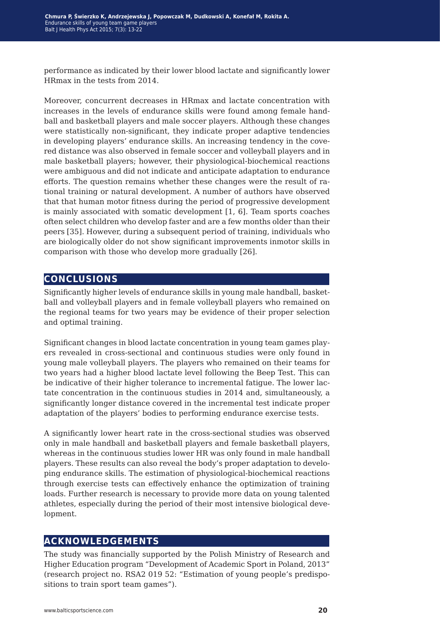performance as indicated by their lower blood lactate and significantly lower HRmax in the tests from 2014.

Moreover, concurrent decreases in HRmax and lactate concentration with increases in the levels of endurance skills were found among female handball and basketball players and male soccer players. Although these changes were statistically non-significant, they indicate proper adaptive tendencies in developing players' endurance skills. An increasing tendency in the covered distance was also observed in female soccer and volleyball players and in male basketball players; however, their physiological-biochemical reactions were ambiguous and did not indicate and anticipate adaptation to endurance efforts. The question remains whether these changes were the result of rational training or natural development. A number of authors have observed that that human motor fitness during the period of progressive development is mainly associated with somatic development [1, 6]. Team sports coaches often select children who develop faster and are a few months older than their peers [35]. However, during a subsequent period of training, individuals who are biologically older do not show significant improvements inmotor skills in comparison with those who develop more gradually [26].

## **conclusions**

Significantly higher levels of endurance skills in young male handball, basketball and volleyball players and in female volleyball players who remained on the regional teams for two years may be evidence of their proper selection and optimal training.

Significant changes in blood lactate concentration in young team games players revealed in cross-sectional and continuous studies were only found in young male volleyball players. The players who remained on their teams for two years had a higher blood lactate level following the Beep Test. This can be indicative of their higher tolerance to incremental fatigue. The lower lactate concentration in the continuous studies in 2014 and, simultaneously, a significantly longer distance covered in the incremental test indicate proper adaptation of the players' bodies to performing endurance exercise tests.

A significantly lower heart rate in the cross-sectional studies was observed only in male handball and basketball players and female basketball players, whereas in the continuous studies lower HR was only found in male handball players. These results can also reveal the body's proper adaptation to developing endurance skills. The estimation of physiological-biochemical reactions through exercise tests can effectively enhance the optimization of training loads. Further research is necessary to provide more data on young talented athletes, especially during the period of their most intensive biological development.

### **acknowledgements**

The study was financially supported by the Polish Ministry of Research and Higher Education program "Development of Academic Sport in Poland, 2013" (research project no. RSA2 019 52: "Estimation of young people's predispositions to train sport team games").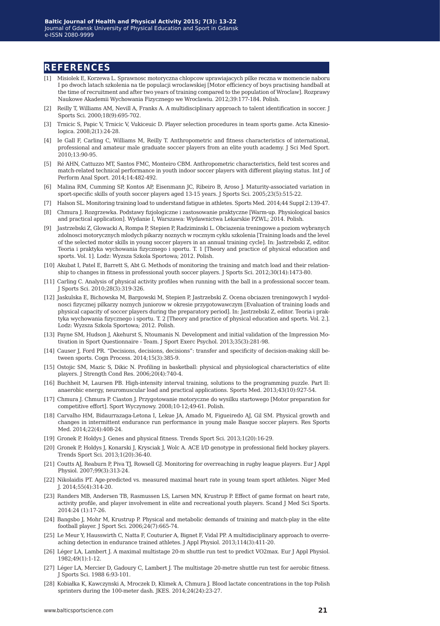#### **references**

- [1] Misiolek E, Korzewa L. Sprawnosc motoryczna chlopcow uprawiajacych pilke reczna w momencie naboru I po dwoch latach szkolenia na tle populacji wroclawskiej [Motor efficiency of boys practising handball at the time of recruitment and after two years of training compared to the population of Wroclaw]. Rozprawy Naukowe Akademii Wychowania Fizycznego we Wroclawiu. 2012;39:177-184. Polish.
- [2] Reilly T, Williams AM, Nevill A, Franks A. A multidisciplinary approach to talent identification in soccer. J Sports Sci. 2000;18(9):695-702.
- [3] Trnicic S, Papic V, Trnicic V, Vukiceuic D. Player selection procedures in team sports game. Acta Kinesiologica. 2008;2(1):24-28.
- [4] Ie Gall F, Carling C, Williams M, Reilly T. Anthropometric and fitness characteristics of international, professional and amateur male graduate soccer players from an elite youth academy. J Sci Med Sport. 2010;13:90-95.
- [5] Ré AHN, Cattuzzo MT, Santos FMC, Monteiro CBM. Anthropometric characteristics, field test scores and match-related technical performance in youth indoor soccer players with different playing status. Int J of Perform Anal Sport. 2014;14:482-492.
- [6] Malina RM, Cumming SP, Kontos AP, Eisenmann JC, Ribeiro B, Aroso J. Maturity-associated variation in sport-specific skills of youth soccer players aged 13-15 years. J Sports Sci. 2005;23(5):515-22.
- [7] Halson SL. Monitoring training load to understand fatigue in athletes. Sports Med. 2014;44 Suppl 2:139-47.
- [8] Chmura J. Rozgrzewka. Podstawy fizjologiczne i zastosowanie praktyczne [Warm-up. Physiological basics and practical application]. Wydanie I, Warszawa: Wydawnictwa Lekarskie PZWL; 2014. Polish.
- [9] Jastrzebski Z, Glowacki A, Rompa P, Stepien P, Radziminski L. Obciazenia treningowe a poziom wybranych zdolnosci motorycznych mlodych pikarzy noznych w rocznym cyklu szkolenia [Training loads and the level of the selected motor skills in young soccer players in an annual training cycle]. In: Jastrzebski Z, editor. Teoria i praktyka wychowania fizycznego i sportu. T. 1 [Theory and practice of physical education and sports. Vol. 1]. Lodz: Wyzsza Szkola Sportowa; 2012. Polish.
- [10] Akubat I, Patel E, Barrett S, Abt G. Methods of monitoring the training and match load and their relationship to changes in fitness in professional youth soccer players. J Sports Sci. 2012;30(14):1473-80.
- [11] Carling C. Analysis of physical activity profiles when running with the ball in a professional soccer team. J Sports Sci. 2010;28(3):319-326.
- [12] Jaskulska E, Bichowska M, Bargowski M, Stepien P, Jastrzebski Z. Ocena obciazen treningowych I wydolnosci fizycznej pilkarzy noznych juniorow w okresie przygotowawczym [Evaluation of training loads and physical capacity of soccer players during the preparatory period]. In: Jastrzebski Z, editor. Teoria i praktyka wychowania fizycznego i sportu. T. 2 [Theory and practice of physical education and sports. Vol. 2.]. Lodz: Wyzsza Szkola Sportowa; 2012. Polish.
- [13] Payne SM, Hudson J, Akehurst S, Ntoumanis N. Development and initial validation of the Impression Motivation in Sport Questionnaire - Team. J Sport Exerc Psychol. 2013;35(3):281-98.
- [14] Causer J, Ford PR. "Decisions, decisions, decisions": transfer and specificity of decision-making skill between sports. Cogn Process. 2014;15(3):385-9.
- [15] Ostojic SM, Mazic S, Dikic N. Profiling in basketball: physical and physiological characteristics of elite players. J Strength Cond Res. 2006;20(4):740-4.
- [16] Buchheit M, Laursen PB. High-intensity interval training, solutions to the programming puzzle. Part II: anaerobic energy, neuromuscular load and practical applications. Sports Med. 2013;43(10):927-54.
- [17] Chmura J. Chmura P. Ciaston J. Przygotowanie motoryczne do wysilku startowego [Motor preparation for competitive effort]. Sport Wyczynowy. 2008;10-12;49-61. Polish.
- [18] Carvalho HM, Bidaurrazaga-Letona I, Lekue JA, Amado M, Figueiredo AJ, Gil SM. Physical growth and changes in intermittent endurance run performance in young male Basque soccer players. Res Sports Med. 2014;22(4):408-24.
- [19] Gronek P, Holdys J. Genes and physical fitness. Trends Sport Sci. 2013;1(20):16-29.
- [20] Gronek P, Holdys J, Konarski J, Krysciak J, Wolc A. ACE I/D genotype in professional field hockey players. Trends Sport Sci. 2013;1(20):36-40.
- [21] Coutts AJ, Reaburn P, Piva TJ, Rowsell GJ. Monitoring for overreaching in rugby league players. Eur J Appl Physiol. 2007;99(3):313-24.
- [22] Nikolaidis PT. Age-predicted vs. measured maximal heart rate in young team sport athletes. Niger Med J. 2014;55(4):314-20.
- [23] Randers MB, Andersen TB, Rasmussen LS, Larsen MN, Krustrup P. Effect of game format on heart rate, activity profile, and player involvement in elite and recreational youth players. Scand J Med Sci Sports. 2014:24 (1):17-26.
- [24] Bangsbo J, Mohr M, Krustrup P. Physical and metabolic demands of training and match-play in the elite football player. J Sport Sci. 2006;24(7):665-74.
- [25] Le Meur Y, Hausswirth C, Natta F, Couturier A, Bignet F, Vidal PP. A multidisciplinary approach to overreaching detection in endurance trained athletes. J Appl Physiol. 2013;114(3):411-20.
- [26] Léger LA, Lambert J. A maximal multistage 20-m shuttle run test to predict VO2max. Eur J Appl Physiol. 1982;49(1):1-12.
- [27] Léger LA, Mercier D, Gadoury C, Lambert J. The multistage 20-metre shuttle run test for aerobic fitness. J Sports Sci. 1988 6:93-101.
- [28] Kobiałka K, Kawczynski A, Mroczek D, Klimek A, Chmura J. Blood lactate concentrations in the top Polish sprinters during the 100-meter dash. JKES. 2014;24(24):23-27.